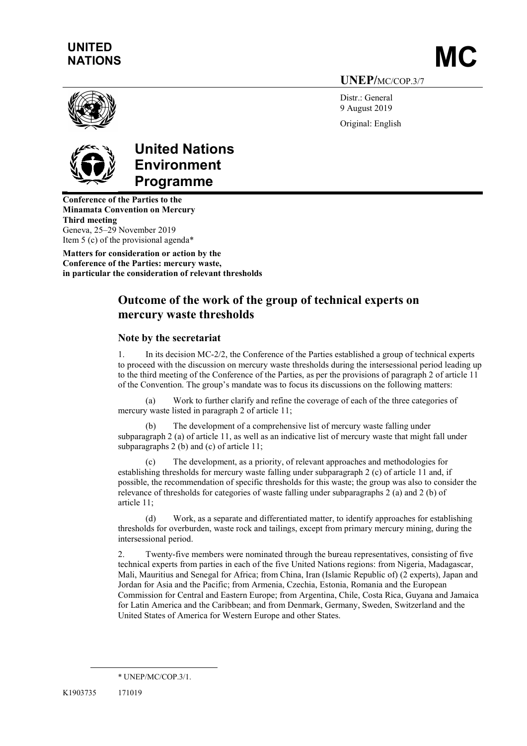# UNITED UNITED<br>NATIONS MATIONS

UNEP/MC/COP.3/7

Distr.: General 9 August 2019

Original: English



# United Nations Environment Programme

Conference of the Parties to the Minamata Convention on Mercury Third meeting Geneva, 25–29 November 2019 Item 5 (c) of the provisional agenda\*

Matters for consideration or action by the Conference of the Parties: mercury waste, in particular the consideration of relevant thresholds

# Outcome of the work of the group of technical experts on mercury waste thresholds

### Note by the secretariat

1. In its decision MC-2/2, the Conference of the Parties established a group of technical experts to proceed with the discussion on mercury waste thresholds during the intersessional period leading up to the third meeting of the Conference of the Parties, as per the provisions of paragraph 2 of article 11 of the Convention. The group's mandate was to focus its discussions on the following matters:

(a) Work to further clarify and refine the coverage of each of the three categories of mercury waste listed in paragraph 2 of article 11;

(b) The development of a comprehensive list of mercury waste falling under subparagraph 2 (a) of article 11, as well as an indicative list of mercury waste that might fall under subparagraphs 2 (b) and (c) of article 11;

(c) The development, as a priority, of relevant approaches and methodologies for establishing thresholds for mercury waste falling under subparagraph 2 (c) of article 11 and, if possible, the recommendation of specific thresholds for this waste; the group was also to consider the relevance of thresholds for categories of waste falling under subparagraphs 2 (a) and 2 (b) of article 11;

(d) Work, as a separate and differentiated matter, to identify approaches for establishing thresholds for overburden, waste rock and tailings, except from primary mercury mining, during the intersessional period.

2. Twenty-five members were nominated through the bureau representatives, consisting of five technical experts from parties in each of the five United Nations regions: from Nigeria, Madagascar, Mali, Mauritius and Senegal for Africa; from China, Iran (Islamic Republic of) (2 experts), Japan and Jordan for Asia and the Pacific; from Armenia, Czechia, Estonia, Romania and the European Commission for Central and Eastern Europe; from Argentina, Chile, Costa Rica, Guyana and Jamaica for Latin America and the Caribbean; and from Denmark, Germany, Sweden, Switzerland and the United States of America for Western Europe and other States.

<sup>\*</sup> UNEP/MC/COP.3/1.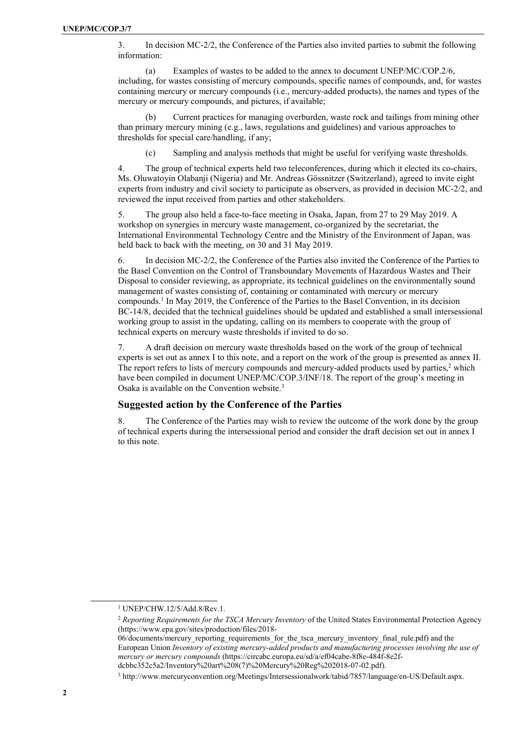3. In decision MC-2/2, the Conference of the Parties also invited parties to submit the following information:

(a) Examples of wastes to be added to the annex to document UNEP/MC/COP.2/6, including, for wastes consisting of mercury compounds, specific names of compounds, and, for wastes containing mercury or mercury compounds (i.e., mercury-added products), the names and types of the mercury or mercury compounds, and pictures, if available;

Current practices for managing overburden, waste rock and tailings from mining other than primary mercury mining (e.g., laws, regulations and guidelines) and various approaches to thresholds for special care/handling, if any;

(c) Sampling and analysis methods that might be useful for verifying waste thresholds.

4. The group of technical experts held two teleconferences, during which it elected its co-chairs, Ms. Oluwatoyin Olabanji (Nigeria) and Mr. Andreas Gössnitzer (Switzerland), agreed to invite eight experts from industry and civil society to participate as observers, as provided in decision MC-2/2, and reviewed the input received from parties and other stakeholders.

5. The group also held a face-to-face meeting in Osaka, Japan, from 27 to 29 May 2019. A workshop on synergies in mercury waste management, co-organized by the secretariat, the International Environmental Technology Centre and the Ministry of the Environment of Japan, was held back to back with the meeting, on 30 and 31 May 2019.

6. In decision MC-2/2, the Conference of the Parties also invited the Conference of the Parties to the Basel Convention on the Control of Transboundary Movements of Hazardous Wastes and Their Disposal to consider reviewing, as appropriate, its technical guidelines on the environmentally sound management of wastes consisting of, containing or contaminated with mercury or mercury compounds.<sup>1</sup> In May 2019, the Conference of the Parties to the Basel Convention, in its decision BC-14/8, decided that the technical guidelines should be updated and established a small intersessional working group to assist in the updating, calling on its members to cooperate with the group of technical experts on mercury waste thresholds if invited to do so.

7. A draft decision on mercury waste thresholds based on the work of the group of technical experts is set out as annex I to this note, and a report on the work of the group is presented as annex II. The report refers to lists of mercury compounds and mercury-added products used by parties, $2$  which have been compiled in document UNEP/MC/COP.3/INF/18. The report of the group's meeting in Osaka is available on the Convention website.<sup>3</sup>

#### Suggested action by the Conference of the Parties

8. The Conference of the Parties may wish to review the outcome of the work done by the group of technical experts during the intersessional period and consider the draft decision set out in annex I to this note.

l

<sup>1</sup> UNEP/CHW.12/5/Add.8/Rev.1.

<sup>&</sup>lt;sup>2</sup> Reporting Requirements for the TSCA Mercury Inventory of the United States Environmental Protection Agency (https://www.epa.gov/sites/production/files/2018-

<sup>06/</sup>documents/mercury reporting requirements for the tsca mercury inventory final rule.pdf) and the European Union Inventory of existing mercury-added products and manufacturing processes involving the use of mercury or mercury compounds (https://circabc.europa.eu/sd/a/ef04cabe-8f8e-484f-8e2fdcbbc352c5a2/Inventory%20art%208(7)%20Mercury%20Reg%202018-07-02.pdf).

<sup>3</sup> http://www.mercuryconvention.org/Meetings/Intersessionalwork/tabid/7857/language/en-US/Default.aspx.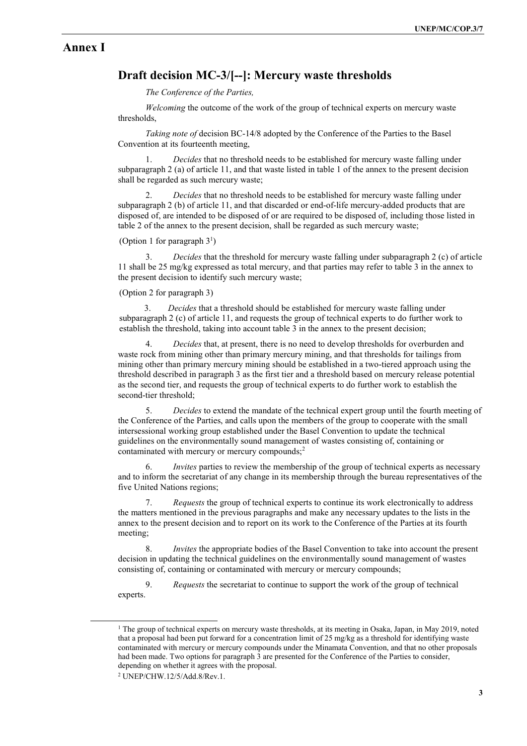### Annex I

## Draft decision MC-3/[--]: Mercury waste thresholds

The Conference of the Parties,

Welcoming the outcome of the work of the group of technical experts on mercury waste thresholds,

Taking note of decision BC-14/8 adopted by the Conference of the Parties to the Basel Convention at its fourteenth meeting,

Decides that no threshold needs to be established for mercury waste falling under subparagraph 2 (a) of article 11, and that waste listed in table 1 of the annex to the present decision shall be regarded as such mercury waste;

Decides that no threshold needs to be established for mercury waste falling under subparagraph 2 (b) of article 11, and that discarded or end-of-life mercury-added products that are disposed of, are intended to be disposed of or are required to be disposed of, including those listed in table 2 of the annex to the present decision, shall be regarded as such mercury waste;

#### (Option 1 for paragraph  $3<sup>1</sup>$ )

3. Decides that the threshold for mercury waste falling under subparagraph 2 (c) of article 11 shall be 25 mg/kg expressed as total mercury, and that parties may refer to table 3 in the annex to the present decision to identify such mercury waste;

#### (Option 2 for paragraph 3)

3. Decides that a threshold should be established for mercury waste falling under subparagraph 2 (c) of article 11, and requests the group of technical experts to do further work to establish the threshold, taking into account table 3 in the annex to the present decision;

4. Decides that, at present, there is no need to develop thresholds for overburden and waste rock from mining other than primary mercury mining, and that thresholds for tailings from mining other than primary mercury mining should be established in a two-tiered approach using the threshold described in paragraph 3 as the first tier and a threshold based on mercury release potential as the second tier, and requests the group of technical experts to do further work to establish the second-tier threshold;

5. Decides to extend the mandate of the technical expert group until the fourth meeting of the Conference of the Parties, and calls upon the members of the group to cooperate with the small intersessional working group established under the Basel Convention to update the technical guidelines on the environmentally sound management of wastes consisting of, containing or contaminated with mercury or mercury compounds;<sup>2</sup>

6. Invites parties to review the membership of the group of technical experts as necessary and to inform the secretariat of any change in its membership through the bureau representatives of the five United Nations regions;

7. Requests the group of technical experts to continue its work electronically to address the matters mentioned in the previous paragraphs and make any necessary updates to the lists in the annex to the present decision and to report on its work to the Conference of the Parties at its fourth meeting;

8. Invites the appropriate bodies of the Basel Convention to take into account the present decision in updating the technical guidelines on the environmentally sound management of wastes consisting of, containing or contaminated with mercury or mercury compounds;

9. Requests the secretariat to continue to support the work of the group of technical experts.

<sup>&</sup>lt;sup>1</sup> The group of technical experts on mercury waste thresholds, at its meeting in Osaka, Japan, in May 2019, noted that a proposal had been put forward for a concentration limit of 25 mg/kg as a threshold for identifying waste contaminated with mercury or mercury compounds under the Minamata Convention, and that no other proposals had been made. Two options for paragraph 3 are presented for the Conference of the Parties to consider, depending on whether it agrees with the proposal.

<sup>2</sup> UNEP/CHW.12/5/Add.8/Rev.1.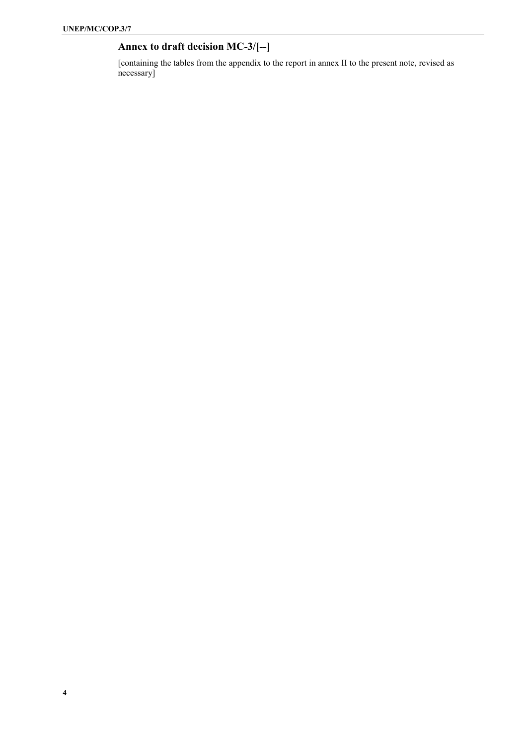# Annex to draft decision MC-3/[--]

[containing the tables from the appendix to the report in annex II to the present note, revised as necessary]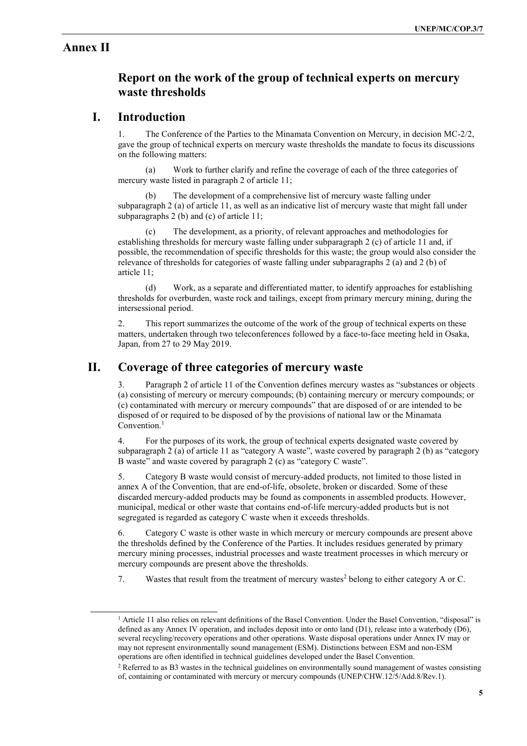## Annex II

l

## Report on the work of the group of technical experts on mercury waste thresholds

## I. Introduction

1. The Conference of the Parties to the Minamata Convention on Mercury, in decision MC-2/2, gave the group of technical experts on mercury waste thresholds the mandate to focus its discussions on the following matters:

(a) Work to further clarify and refine the coverage of each of the three categories of mercury waste listed in paragraph 2 of article 11;

The development of a comprehensive list of mercury waste falling under subparagraph 2 (a) of article 11, as well as an indicative list of mercury waste that might fall under subparagraphs 2 (b) and (c) of article 11;

(c) The development, as a priority, of relevant approaches and methodologies for establishing thresholds for mercury waste falling under subparagraph 2 (c) of article 11 and, if possible, the recommendation of specific thresholds for this waste; the group would also consider the relevance of thresholds for categories of waste falling under subparagraphs 2 (a) and 2 (b) of article 11;

(d) Work, as a separate and differentiated matter, to identify approaches for establishing thresholds for overburden, waste rock and tailings, except from primary mercury mining, during the intersessional period.

2. This report summarizes the outcome of the work of the group of technical experts on these matters, undertaken through two teleconferences followed by a face-to-face meeting held in Osaka, Japan, from 27 to 29 May 2019.

## II. Coverage of three categories of mercury waste

3. Paragraph 2 of article 11 of the Convention defines mercury wastes as "substances or objects (a) consisting of mercury or mercury compounds; (b) containing mercury or mercury compounds; or (c) contaminated with mercury or mercury compounds" that are disposed of or are intended to be disposed of or required to be disposed of by the provisions of national law or the Minamata Convention.<sup>1</sup>

4. For the purposes of its work, the group of technical experts designated waste covered by subparagraph 2 (a) of article 11 as "category A waste", waste covered by paragraph 2 (b) as "category B waste" and waste covered by paragraph 2 (c) as "category C waste".

5. Category B waste would consist of mercury-added products, not limited to those listed in annex A of the Convention, that are end-of-life, obsolete, broken or discarded. Some of these discarded mercury-added products may be found as components in assembled products. However, municipal, medical or other waste that contains end-of-life mercury-added products but is not segregated is regarded as category C waste when it exceeds thresholds.

6. Category C waste is other waste in which mercury or mercury compounds are present above the thresholds defined by the Conference of the Parties. It includes residues generated by primary mercury mining processes, industrial processes and waste treatment processes in which mercury or mercury compounds are present above the thresholds.

7. Wastes that result from the treatment of mercury wastes<sup>2</sup> belong to either category A or C.

<sup>&</sup>lt;sup>1</sup> Article 11 also relies on relevant definitions of the Basel Convention. Under the Basel Convention, "disposal" is defined as any Annex IV operation, and includes deposit into or onto land (D1), release into a waterbody (D6), several recycling/recovery operations and other operations. Waste disposal operations under Annex IV may or may not represent environmentally sound management (ESM). Distinctions between ESM and non-ESM operations are often identified in technical guidelines developed under the Basel Convention.

<sup>&</sup>lt;sup>2</sup> Referred to as B3 wastes in the technical guidelines on environmentally sound management of wastes consisting of, containing or contaminated with mercury or mercury compounds (UNEP/CHW.12/5/Add.8/Rev.1).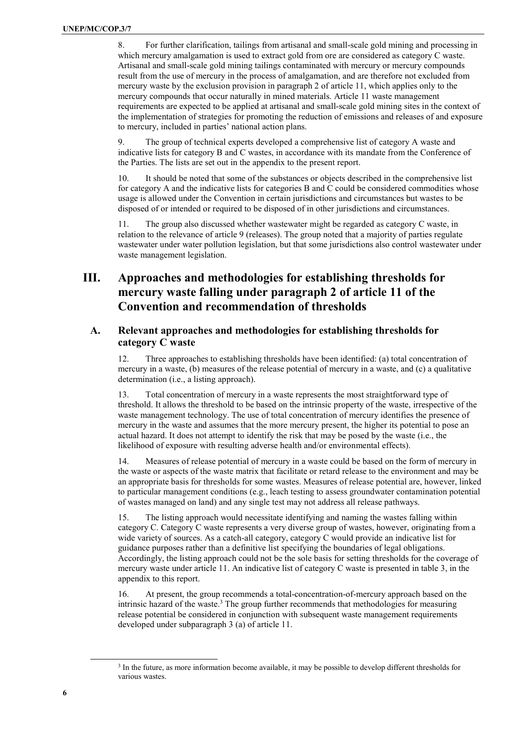8. For further clarification, tailings from artisanal and small-scale gold mining and processing in which mercury amalgamation is used to extract gold from ore are considered as category C waste. Artisanal and small-scale gold mining tailings contaminated with mercury or mercury compounds result from the use of mercury in the process of amalgamation, and are therefore not excluded from mercury waste by the exclusion provision in paragraph 2 of article 11, which applies only to the mercury compounds that occur naturally in mined materials. Article 11 waste management requirements are expected to be applied at artisanal and small-scale gold mining sites in the context of the implementation of strategies for promoting the reduction of emissions and releases of and exposure to mercury, included in parties' national action plans.

9. The group of technical experts developed a comprehensive list of category A waste and indicative lists for category B and C wastes, in accordance with its mandate from the Conference of the Parties. The lists are set out in the appendix to the present report.

10. It should be noted that some of the substances or objects described in the comprehensive list for category A and the indicative lists for categories B and C could be considered commodities whose usage is allowed under the Convention in certain jurisdictions and circumstances but wastes to be disposed of or intended or required to be disposed of in other jurisdictions and circumstances.

11. The group also discussed whether wastewater might be regarded as category C waste, in relation to the relevance of article 9 (releases). The group noted that a majority of parties regulate wastewater under water pollution legislation, but that some jurisdictions also control wastewater under waste management legislation.

# III. Approaches and methodologies for establishing thresholds for mercury waste falling under paragraph 2 of article 11 of the Convention and recommendation of thresholds

### A. Relevant approaches and methodologies for establishing thresholds for category C waste

12. Three approaches to establishing thresholds have been identified: (a) total concentration of mercury in a waste, (b) measures of the release potential of mercury in a waste, and (c) a qualitative determination (i.e., a listing approach).

13. Total concentration of mercury in a waste represents the most straightforward type of threshold. It allows the threshold to be based on the intrinsic property of the waste, irrespective of the waste management technology. The use of total concentration of mercury identifies the presence of mercury in the waste and assumes that the more mercury present, the higher its potential to pose an actual hazard. It does not attempt to identify the risk that may be posed by the waste (i.e., the likelihood of exposure with resulting adverse health and/or environmental effects).

14. Measures of release potential of mercury in a waste could be based on the form of mercury in the waste or aspects of the waste matrix that facilitate or retard release to the environment and may be an appropriate basis for thresholds for some wastes. Measures of release potential are, however, linked to particular management conditions (e.g., leach testing to assess groundwater contamination potential of wastes managed on land) and any single test may not address all release pathways.

15. The listing approach would necessitate identifying and naming the wastes falling within category C. Category C waste represents a very diverse group of wastes, however, originating from a wide variety of sources. As a catch-all category, category C would provide an indicative list for guidance purposes rather than a definitive list specifying the boundaries of legal obligations. Accordingly, the listing approach could not be the sole basis for setting thresholds for the coverage of mercury waste under article 11. An indicative list of category C waste is presented in table 3, in the appendix to this report.

16. At present, the group recommends a total-concentration-of-mercury approach based on the intrinsic hazard of the waste.<sup>3</sup> The group further recommends that methodologies for measuring release potential be considered in conjunction with subsequent waste management requirements developed under subparagraph 3 (a) of article 11.

<sup>&</sup>lt;sup>3</sup> In the future, as more information become available, it may be possible to develop different thresholds for various wastes.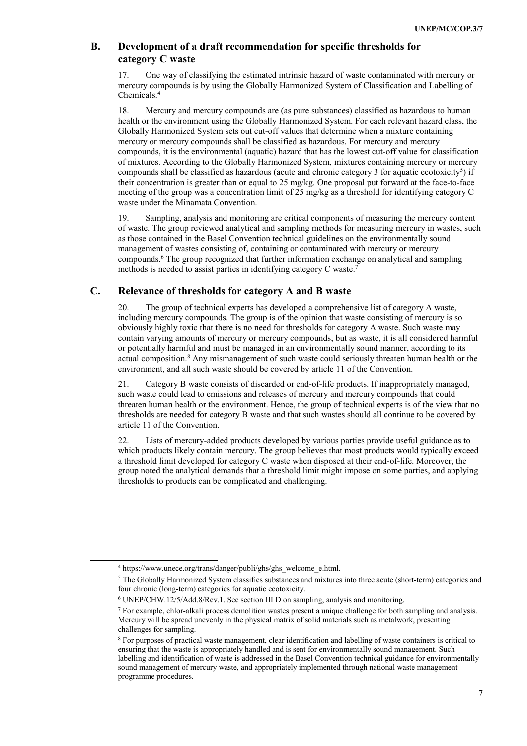### B. Development of a draft recommendation for specific thresholds for category C waste

17. One way of classifying the estimated intrinsic hazard of waste contaminated with mercury or mercury compounds is by using the Globally Harmonized System of Classification and Labelling of Chemicals.<sup>4</sup>

18. Mercury and mercury compounds are (as pure substances) classified as hazardous to human health or the environment using the Globally Harmonized System. For each relevant hazard class, the Globally Harmonized System sets out cut-off values that determine when a mixture containing mercury or mercury compounds shall be classified as hazardous. For mercury and mercury compounds, it is the environmental (aquatic) hazard that has the lowest cut-off value for classification of mixtures. According to the Globally Harmonized System, mixtures containing mercury or mercury compounds shall be classified as hazardous (acute and chronic category 3 for aquatic ecotoxicity<sup>5</sup>) if their concentration is greater than or equal to 25 mg/kg. One proposal put forward at the face-to-face meeting of the group was a concentration limit of 25 mg/kg as a threshold for identifying category C waste under the Minamata Convention.

19. Sampling, analysis and monitoring are critical components of measuring the mercury content of waste. The group reviewed analytical and sampling methods for measuring mercury in wastes, such as those contained in the Basel Convention technical guidelines on the environmentally sound management of wastes consisting of, containing or contaminated with mercury or mercury compounds.<sup>6</sup> The group recognized that further information exchange on analytical and sampling methods is needed to assist parties in identifying category C waste.<sup>7</sup>

### C. Relevance of thresholds for category A and B waste

20. The group of technical experts has developed a comprehensive list of category A waste, including mercury compounds. The group is of the opinion that waste consisting of mercury is so obviously highly toxic that there is no need for thresholds for category A waste. Such waste may contain varying amounts of mercury or mercury compounds, but as waste, it is all considered harmful or potentially harmful and must be managed in an environmentally sound manner, according to its actual composition.<sup>8</sup> Any mismanagement of such waste could seriously threaten human health or the environment, and all such waste should be covered by article 11 of the Convention.

21. Category B waste consists of discarded or end-of-life products. If inappropriately managed, such waste could lead to emissions and releases of mercury and mercury compounds that could threaten human health or the environment. Hence, the group of technical experts is of the view that no thresholds are needed for category B waste and that such wastes should all continue to be covered by article 11 of the Convention.

22. Lists of mercury-added products developed by various parties provide useful guidance as to which products likely contain mercury. The group believes that most products would typically exceed a threshold limit developed for category C waste when disposed at their end-of-life. Moreover, the group noted the analytical demands that a threshold limit might impose on some parties, and applying thresholds to products can be complicated and challenging.

l

<sup>4</sup> https://www.unece.org/trans/danger/publi/ghs/ghs\_welcome\_e.html.

<sup>&</sup>lt;sup>5</sup> The Globally Harmonized System classifies substances and mixtures into three acute (short-term) categories and four chronic (long-term) categories for aquatic ecotoxicity.

<sup>6</sup> UNEP/CHW.12/5/Add.8/Rev.1. See section III D on sampling, analysis and monitoring.

<sup>&</sup>lt;sup>7</sup> For example, chlor-alkali process demolition wastes present a unique challenge for both sampling and analysis. Mercury will be spread unevenly in the physical matrix of solid materials such as metalwork, presenting challenges for sampling.

<sup>&</sup>lt;sup>8</sup> For purposes of practical waste management, clear identification and labelling of waste containers is critical to ensuring that the waste is appropriately handled and is sent for environmentally sound management. Such labelling and identification of waste is addressed in the Basel Convention technical guidance for environmentally sound management of mercury waste, and appropriately implemented through national waste management programme procedures.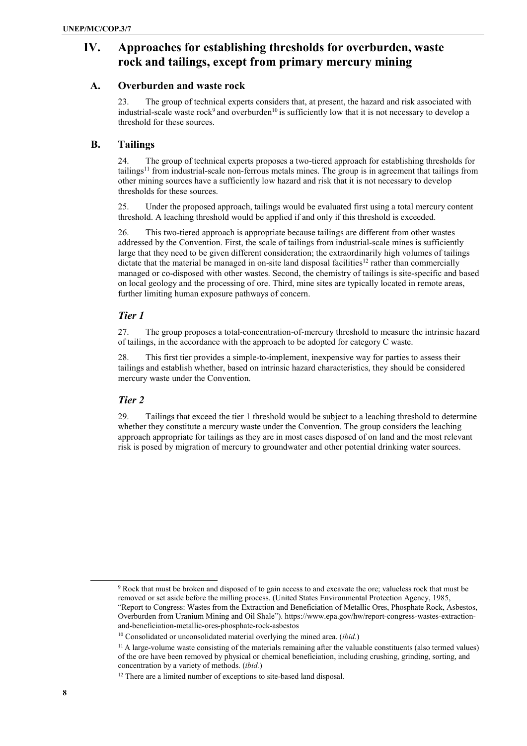# IV. Approaches for establishing thresholds for overburden, waste rock and tailings, except from primary mercury mining

### A. Overburden and waste rock

23. The group of technical experts considers that, at present, the hazard and risk associated with industrial-scale waste rock<sup>9</sup> and overburden<sup>10</sup> is sufficiently low that it is not necessary to develop a threshold for these sources.

### B. Tailings

24. The group of technical experts proposes a two-tiered approach for establishing thresholds for tailings<sup>11</sup> from industrial-scale non-ferrous metals mines. The group is in agreement that tailings from other mining sources have a sufficiently low hazard and risk that it is not necessary to develop thresholds for these sources.

25. Under the proposed approach, tailings would be evaluated first using a total mercury content threshold. A leaching threshold would be applied if and only if this threshold is exceeded.

26. This two-tiered approach is appropriate because tailings are different from other wastes addressed by the Convention. First, the scale of tailings from industrial-scale mines is sufficiently large that they need to be given different consideration; the extraordinarily high volumes of tailings dictate that the material be managed in on-site land disposal facilities<sup>12</sup> rather than commercially managed or co-disposed with other wastes. Second, the chemistry of tailings is site-specific and based on local geology and the processing of ore. Third, mine sites are typically located in remote areas, further limiting human exposure pathways of concern.

### Tier 1

27. The group proposes a total-concentration-of-mercury threshold to measure the intrinsic hazard of tailings, in the accordance with the approach to be adopted for category C waste.

28. This first tier provides a simple-to-implement, inexpensive way for parties to assess their tailings and establish whether, based on intrinsic hazard characteristics, they should be considered mercury waste under the Convention.

### Tier 2

29. Tailings that exceed the tier 1 threshold would be subject to a leaching threshold to determine whether they constitute a mercury waste under the Convention. The group considers the leaching approach appropriate for tailings as they are in most cases disposed of on land and the most relevant risk is posed by migration of mercury to groundwater and other potential drinking water sources.

<sup>&</sup>lt;sup>9</sup> Rock that must be broken and disposed of to gain access to and excavate the ore; valueless rock that must be removed or set aside before the milling process. (United States Environmental Protection Agency, 1985, "Report to Congress: Wastes from the Extraction and Beneficiation of Metallic Ores, Phosphate Rock, Asbestos, Overburden from Uranium Mining and Oil Shale"). https://www.epa.gov/hw/report-congress-wastes-extractionand-beneficiation-metallic-ores-phosphate-rock-asbestos

 $10$  Consolidated or unconsolidated material overlying the mined area. *(ibid.)* 

 $11$  A large-volume waste consisting of the materials remaining after the valuable constituents (also termed values) of the ore have been removed by physical or chemical beneficiation, including crushing, grinding, sorting, and concentration by a variety of methods. (ibid.)

<sup>&</sup>lt;sup>12</sup> There are a limited number of exceptions to site-based land disposal.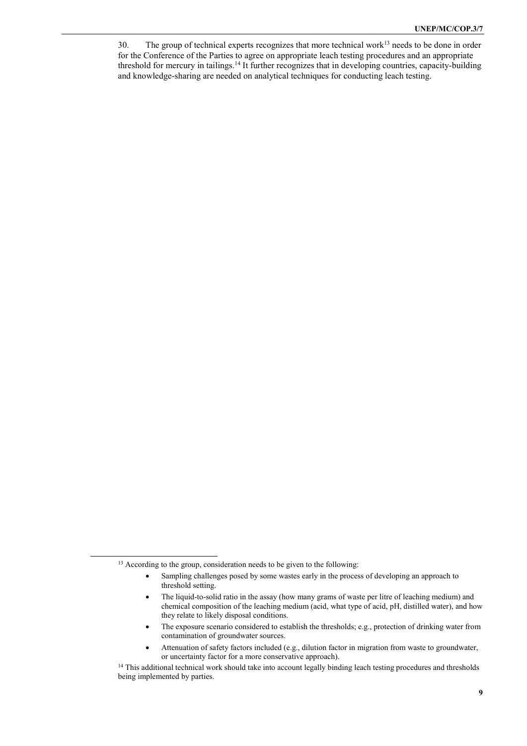<sup>30.</sup> The group of technical experts recognizes that more technical work<sup>13</sup> needs to be done in order for the Conference of the Parties to agree on appropriate leach testing procedures and an appropriate threshold for mercury in tailings.<sup>14</sup> It further recognizes that in developing countries, capacity-building and knowledge-sharing are needed on analytical techniques for conducting leach testing.

<sup>&</sup>lt;sup>13</sup> According to the group, consideration needs to be given to the following:

Sampling challenges posed by some wastes early in the process of developing an approach to threshold setting.

The liquid-to-solid ratio in the assay (how many grams of waste per litre of leaching medium) and chemical composition of the leaching medium (acid, what type of acid, pH, distilled water), and how they relate to likely disposal conditions.

<sup>•</sup> The exposure scenario considered to establish the thresholds; e.g., protection of drinking water from contamination of groundwater sources.

Attenuation of safety factors included (e.g., dilution factor in migration from waste to groundwater, or uncertainty factor for a more conservative approach).

<sup>&</sup>lt;sup>14</sup> This additional technical work should take into account legally binding leach testing procedures and thresholds being implemented by parties.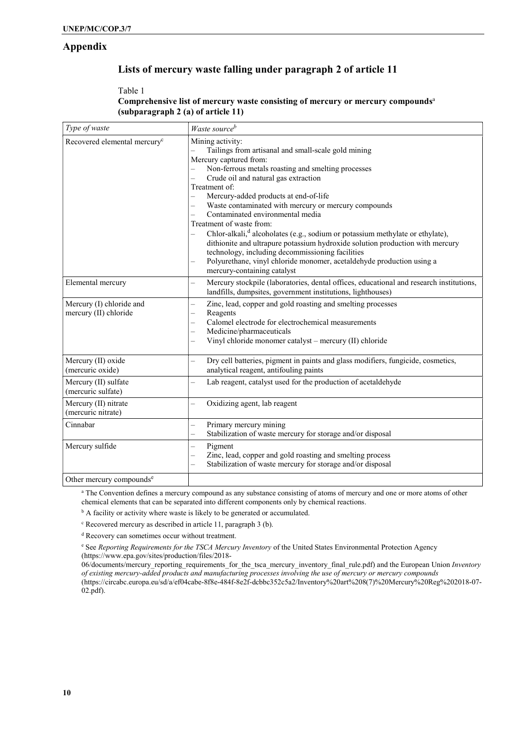### Appendix

### Lists of mercury waste falling under paragraph 2 of article 11

### Table 1 Comprehensive list of mercury waste consisting of mercury or mercury compounds<sup>a</sup> (subparagraph 2 (a) of article 11)

| Type of waste                                     | Waste source <sup>b</sup>                                                                                                                                                                                                                                                                                                                                                                                                                                                                                                                                                                                                                                                                                                                                                           |
|---------------------------------------------------|-------------------------------------------------------------------------------------------------------------------------------------------------------------------------------------------------------------------------------------------------------------------------------------------------------------------------------------------------------------------------------------------------------------------------------------------------------------------------------------------------------------------------------------------------------------------------------------------------------------------------------------------------------------------------------------------------------------------------------------------------------------------------------------|
| Recovered elemental mercury <sup>c</sup>          | Mining activity:<br>Tailings from artisanal and small-scale gold mining<br>Mercury captured from:<br>Non-ferrous metals roasting and smelting processes<br>Crude oil and natural gas extraction<br>Treatment of:<br>Mercury-added products at end-of-life<br>Waste contaminated with mercury or mercury compounds<br>$\overline{\phantom{0}}$<br>Contaminated environmental media<br>$\overline{\phantom{0}}$<br>Treatment of waste from:<br>Chlor-alkali, <sup>d</sup> alcoholates (e.g., sodium or potassium methylate or ethylate),<br>dithionite and ultrapure potassium hydroxide solution production with mercury<br>technology, including decommissioning facilities<br>Polyurethane, vinyl chloride monomer, acetaldehyde production using a<br>mercury-containing catalyst |
| Elemental mercury                                 | Mercury stockpile (laboratories, dental offices, educational and research institutions,<br>$\overline{\phantom{0}}$<br>landfills, dumpsites, government institutions, lighthouses)                                                                                                                                                                                                                                                                                                                                                                                                                                                                                                                                                                                                  |
| Mercury (I) chloride and<br>mercury (II) chloride | Zinc, lead, copper and gold roasting and smelting processes<br>$\overline{\phantom{0}}$<br>Reagents<br>$\overline{\phantom{0}}$<br>Calomel electrode for electrochemical measurements<br>$\overline{\phantom{0}}$<br>Medicine/pharmaceuticals<br>$\overline{\phantom{0}}$<br>Vinyl chloride monomer catalyst - mercury (II) chloride                                                                                                                                                                                                                                                                                                                                                                                                                                                |
| Mercury (II) oxide<br>(mercuric oxide)            | Dry cell batteries, pigment in paints and glass modifiers, fungicide, cosmetics,<br>analytical reagent, antifouling paints                                                                                                                                                                                                                                                                                                                                                                                                                                                                                                                                                                                                                                                          |
| Mercury (II) sulfate<br>(mercuric sulfate)        | Lab reagent, catalyst used for the production of acetaldehyde                                                                                                                                                                                                                                                                                                                                                                                                                                                                                                                                                                                                                                                                                                                       |
| Mercury (II) nitrate<br>(mercuric nitrate)        | Oxidizing agent, lab reagent<br>$\overline{\phantom{0}}$                                                                                                                                                                                                                                                                                                                                                                                                                                                                                                                                                                                                                                                                                                                            |
| Cinnabar                                          | Primary mercury mining<br>Stabilization of waste mercury for storage and/or disposal<br>$\overline{\phantom{0}}$                                                                                                                                                                                                                                                                                                                                                                                                                                                                                                                                                                                                                                                                    |
| Mercury sulfide                                   | Pigment<br>Zinc, lead, copper and gold roasting and smelting process<br>Stabilization of waste mercury for storage and/or disposal                                                                                                                                                                                                                                                                                                                                                                                                                                                                                                                                                                                                                                                  |
| Other mercury compounds <sup>e</sup>              |                                                                                                                                                                                                                                                                                                                                                                                                                                                                                                                                                                                                                                                                                                                                                                                     |

<sup>a</sup> The Convention defines a mercury compound as any substance consisting of atoms of mercury and one or more atoms of other chemical elements that can be separated into different components only by chemical reactions.

<sup>b</sup> A facility or activity where waste is likely to be generated or accumulated.

c Recovered mercury as described in article 11, paragraph 3 (b).

d Recovery can sometimes occur without treatment.

<sup>e</sup> See Reporting Requirements for the TSCA Mercury Inventory of the United States Environmental Protection Agency (https://www.epa.gov/sites/production/files/2018-

06/documents/mercury\_reporting\_requirements\_for\_the\_tsca\_mercury\_inventory\_final\_rule.pdf) and the European Union Inventory of existing mercury-added products and manufacturing processes involving the use of mercury or mercury compounds (https://circabc.europa.eu/sd/a/ef04cabe-8f8e-484f-8e2f-dcbbc352c5a2/Inventory%20art%208(7)%20Mercury%20Reg%202018-07- 02.pdf).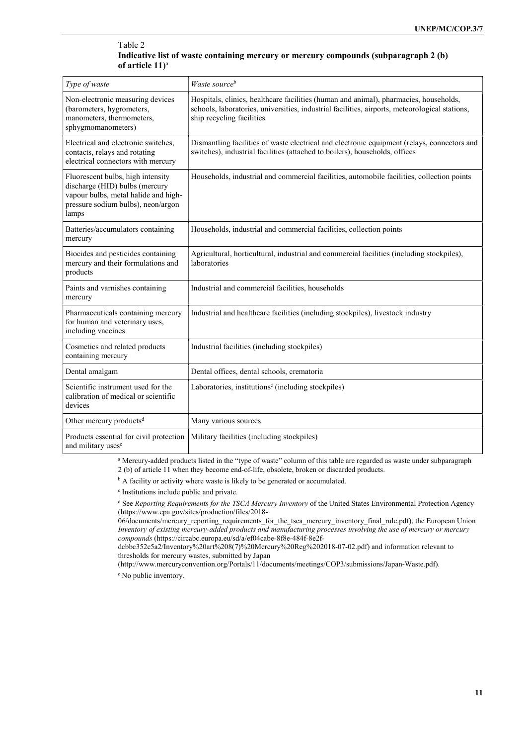#### Table 2 Indicative list of waste containing mercury or mercury compounds (subparagraph 2 (b) of article  $11$ <sup>a</sup>

| Type of waste                                                                                                                                              | Waste sourceb                                                                                                                                                                                                        |
|------------------------------------------------------------------------------------------------------------------------------------------------------------|----------------------------------------------------------------------------------------------------------------------------------------------------------------------------------------------------------------------|
| Non-electronic measuring devices<br>(barometers, hygrometers,<br>manometers, thermometers,<br>sphygmomanometers)                                           | Hospitals, clinics, healthcare facilities (human and animal), pharmacies, households,<br>schools, laboratories, universities, industrial facilities, airports, meteorological stations,<br>ship recycling facilities |
| Electrical and electronic switches,<br>contacts, relays and rotating<br>electrical connectors with mercury                                                 | Dismantling facilities of waste electrical and electronic equipment (relays, connectors and<br>switches), industrial facilities (attached to boilers), households, offices                                           |
| Fluorescent bulbs, high intensity<br>discharge (HID) bulbs (mercury<br>vapour bulbs, metal halide and high-<br>pressure sodium bulbs), neon/argon<br>lamps | Households, industrial and commercial facilities, automobile facilities, collection points                                                                                                                           |
| Batteries/accumulators containing<br>mercury                                                                                                               | Households, industrial and commercial facilities, collection points                                                                                                                                                  |
| Biocides and pesticides containing<br>mercury and their formulations and<br>products                                                                       | Agricultural, horticultural, industrial and commercial facilities (including stockpiles),<br>laboratories                                                                                                            |
| Paints and varnishes containing<br>mercury                                                                                                                 | Industrial and commercial facilities, households                                                                                                                                                                     |
| Pharmaceuticals containing mercury<br>for human and veterinary uses,<br>including vaccines                                                                 | Industrial and healthcare facilities (including stockpiles), livestock industry                                                                                                                                      |
| Cosmetics and related products<br>containing mercury                                                                                                       | Industrial facilities (including stockpiles)                                                                                                                                                                         |
| Dental amalgam                                                                                                                                             | Dental offices, dental schools, crematoria                                                                                                                                                                           |
| Scientific instrument used for the<br>calibration of medical or scientific<br>devices                                                                      | Laboratories, institutions <sup>c</sup> (including stockpiles)                                                                                                                                                       |
| Other mercury products <sup>d</sup>                                                                                                                        | Many various sources                                                                                                                                                                                                 |
| Products essential for civil protection<br>and military uses <sup>e</sup>                                                                                  | Military facilities (including stockpiles)                                                                                                                                                                           |

a Mercury-added products listed in the "type of waste" column of this table are regarded as waste under subparagraph 2 (b) of article 11 when they become end-of-life, obsolete, broken or discarded products.

<sup>b</sup> A facility or activity where waste is likely to be generated or accumulated.

c Institutions include public and private.

<sup>d</sup> See Reporting Requirements for the TSCA Mercury Inventory of the United States Environmental Protection Agency (https://www.epa.gov/sites/production/files/2018-

06/documents/mercury\_reporting\_requirements\_for\_the\_tsca\_mercury\_inventory\_final\_rule.pdf), the European Union Inventory of existing mercury-added products and manufacturing processes involving the use of mercury or mercury compounds (https://circabc.europa.eu/sd/a/ef04cabe-8f8e-484f-8e2f-

dcbbc352c5a2/Inventory%20art%208(7)%20Mercury%20Reg%202018-07-02.pdf) and information relevant to thresholds for mercury wastes, submitted by Japan

(http://www.mercuryconvention.org/Portals/11/documents/meetings/COP3/submissions/Japan-Waste.pdf).

e No public inventory.